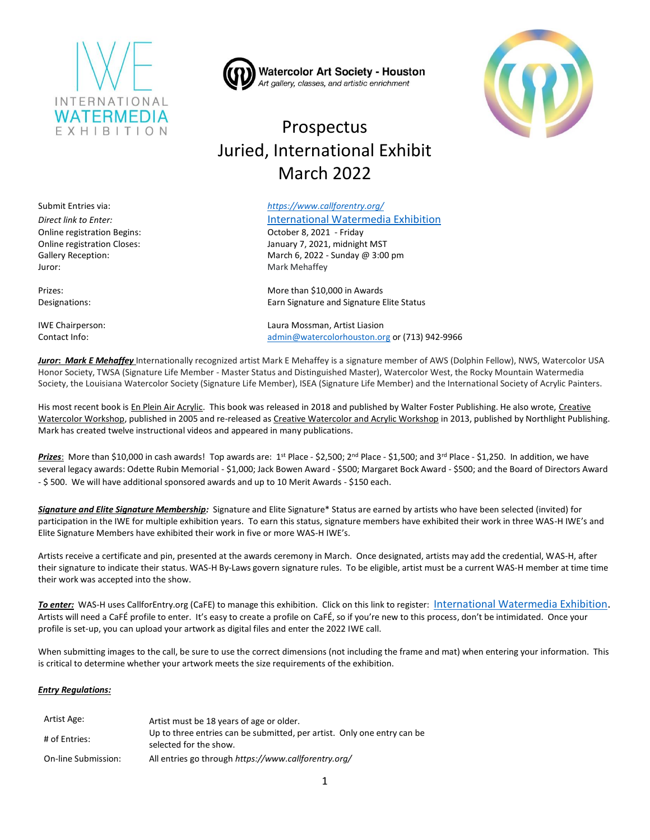

**Watercolor Art Society - Houston** Art gallery, classes, and artistic enrichment

# Prospectus Juried, International Exhibit March 2022

#### Submit Entries via: *<https://www.callforentry.org/>*

*Direct link to Enter:* [International Watermedia Exhibition](https://artist.callforentry.org/festivals_unique_info.php?ID=9338)

Online registration Closes: January 7, 2021, midnight MST Gallery Reception: March 6, 2022 - Sunday @ 3:00 pm

Prizes: example a matrix of the matrix of the More than \$10,000 in Awards Designations: Earn Signature and Signature Elite Status

IWE Chairperson: Laura Mossman, Artist Liasion Contact Info: [admin@watercolorhouston.org](mailto:admin@watercolorhouston.org) or (713) 942-9966

*Juror***:** *Mark E Mehaffey* Internationally recognized artist Mark E Mehaffey is a signature member of AWS (Dolphin Fellow), NWS, Watercolor USA Honor Society, TWSA (Signature Life Member - Master Status and Distinguished Master), Watercolor West, the Rocky Mountain Watermedia Society, the Louisiana Watercolor Society (Signature Life Member), ISEA (Signature Life Member) and the International Society of Acrylic Painters.

His most recent book is En Plein Air Acrylic. This book was released in 2018 and published by Walter Foster Publishing. He also wrote, Creative Watercolor Workshop, published in 2005 and re-released as Creative Watercolor and Acrylic Workshop in 2013, published by Northlight Publishing. Mark has created twelve instructional videos and appeared in many publications.

Prizes: More than \$10,000 in cash awards! Top awards are: 1<sup>st</sup> Place - \$2,500; 2<sup>nd</sup> Place - \$1,500; and 3<sup>rd</sup> Place - \$1,250. In addition, we have several legacy awards: Odette Rubin Memorial - \$1,000; Jack Bowen Award - \$500; Margaret Bock Award - \$500; and the Board of Directors Award - \$ 500. We will have additional sponsored awards and up to 10 Merit Awards - \$150 each.

*Signature and Elite Signature Membership:* Signature and Elite Signature\* Status are earned by artists who have been selected (invited) for participation in the IWE for multiple exhibition years. To earn this status, signature members have exhibited their work in three WAS-H IWE's and Elite Signature Members have exhibited their work in five or more WAS-H IWE's.

Artists receive a certificate and pin, presented at the awards ceremony in March. Once designated, artists may add the credential, WAS-H, after their signature to indicate their status. WAS-H By-Laws govern signature rules. To be eligible, artist must be a current WAS-H member at time time their work was accepted into the show.

*To enter:* WAS-H uses CallforEntry.org (CaFE) to manage this exhibition. Click on this link to register: [International Watermedia Exhibition.](https://artist.callforentry.org/festivals_unique_info.php?ID=9338) Artists will need a CaFÉ profile to enter. It's easy to create a profile on CaFÉ, so if you're new to this process, don't be intimidated. Once your profile is set-up, you can upload your artwork as digital files and enter the 2022 IWE call.

When submitting images to the call, be sure to use the correct dimensions (not including the frame and mat) when entering your information. This is critical to determine whether your artwork meets the size requirements of the exhibition.

#### *Entry Regulations:*

| Artist Age:         | Artist must be 18 years of age or older.                                                          |
|---------------------|---------------------------------------------------------------------------------------------------|
| # of Entries:       | Up to three entries can be submitted, per artist. Only one entry can be<br>selected for the show. |
| On-line Submission: | All entries go through https://www.callforentry.org/                                              |

Online registration Begins: October 8, 2021 - Friday Juror: Mark Mehaffey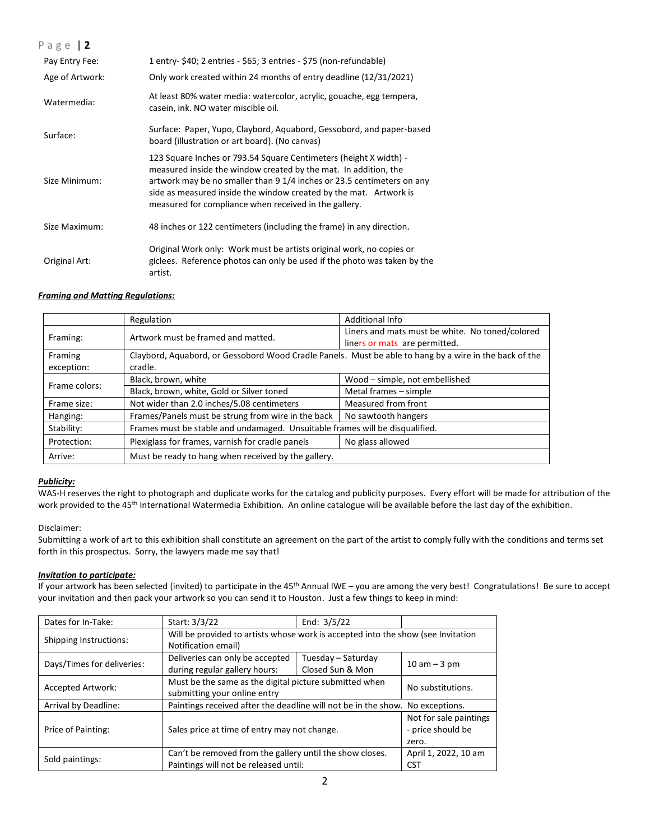| Page   2        |                                                                                                                                                                                                                                                                                                                                              |
|-----------------|----------------------------------------------------------------------------------------------------------------------------------------------------------------------------------------------------------------------------------------------------------------------------------------------------------------------------------------------|
| Pay Entry Fee:  | 1 entry- \$40; 2 entries - \$65; 3 entries - \$75 (non-refundable)                                                                                                                                                                                                                                                                           |
| Age of Artwork: | Only work created within 24 months of entry deadline (12/31/2021)                                                                                                                                                                                                                                                                            |
| Watermedia:     | At least 80% water media: watercolor, acrylic, gouache, egg tempera,<br>casein, ink. NO water miscible oil.                                                                                                                                                                                                                                  |
| Surface:        | Surface: Paper, Yupo, Claybord, Aguabord, Gessobord, and paper-based<br>board (illustration or art board). (No canvas)                                                                                                                                                                                                                       |
| Size Minimum:   | 123 Square Inches or 793.54 Square Centimeters (height X width) -<br>measured inside the window created by the mat. In addition, the<br>artwork may be no smaller than 9 1/4 inches or 23.5 centimeters on any<br>side as measured inside the window created by the mat. Artwork is<br>measured for compliance when received in the gallery. |
| Size Maximum:   | 48 inches or 122 centimeters (including the frame) in any direction.                                                                                                                                                                                                                                                                         |
| Original Art:   | Original Work only: Work must be artists original work, no copies or<br>giclees. Reference photos can only be used if the photo was taken by the<br>artist.                                                                                                                                                                                  |

#### *Framing and Matting Regulations:*

|                       | Regulation                                                                                                        | Additional Info                                                                  |  |
|-----------------------|-------------------------------------------------------------------------------------------------------------------|----------------------------------------------------------------------------------|--|
| Framing:              | Artwork must be framed and matted.                                                                                | Liners and mats must be white. No toned/colored<br>liners or mats are permitted. |  |
| Framing<br>exception: | Claybord, Aquabord, or Gessobord Wood Cradle Panels. Must be able to hang by a wire in the back of the<br>cradle. |                                                                                  |  |
| Frame colors:         | Black, brown, white                                                                                               | Wood - simple, not embellished                                                   |  |
|                       | Black, brown, white, Gold or Silver toned                                                                         | Metal frames - simple                                                            |  |
| Frame size:           | Not wider than 2.0 inches/5.08 centimeters                                                                        | Measured from front                                                              |  |
| Hanging:              | Frames/Panels must be strung from wire in the back                                                                | No sawtooth hangers                                                              |  |
| Stability:            | Frames must be stable and undamaged. Unsuitable frames will be disqualified.                                      |                                                                                  |  |
| Protection:           | Plexiglass for frames, varnish for cradle panels                                                                  | No glass allowed                                                                 |  |
| Arrive:               | Must be ready to hang when received by the gallery.                                                               |                                                                                  |  |

### *Publicity:*

WAS-H reserves the right to photograph and duplicate works for the catalog and publicity purposes. Every effort will be made for attribution of the work provided to the 45<sup>th</sup> International Watermedia Exhibition. An online catalogue will be available before the last day of the exhibition.

#### Disclaimer:

Submitting a work of art to this exhibition shall constitute an agreement on the part of the artist to comply fully with the conditions and terms set forth in this prospectus. Sorry, the lawyers made me say that!

#### *Invitation to participate:*

If your artwork has been selected (invited) to participate in the 45<sup>th</sup> Annual IWE – you are among the very best! Congratulations! Be sure to accept your invitation and then pack your artwork so you can send it to Houston. Just a few things to keep in mind:

| Dates for In-Take:         | Start: 3/3/22                                                                    | End: $3/5/22$      |                        |  |
|----------------------------|----------------------------------------------------------------------------------|--------------------|------------------------|--|
| Shipping Instructions:     | Will be provided to artists whose work is accepted into the show (see Invitation |                    |                        |  |
|                            | Notification email)                                                              |                    |                        |  |
| Days/Times for deliveries: | Deliveries can only be accepted                                                  | Tuesday - Saturday |                        |  |
|                            | during regular gallery hours:                                                    | Closed Sun & Mon   | $10$ am $-3$ pm        |  |
| <b>Accepted Artwork:</b>   | Must be the same as the digital picture submitted when                           |                    | No substitutions.      |  |
|                            | submitting your online entry                                                     |                    |                        |  |
| Arrival by Deadline:       | Paintings received after the deadline will not be in the show. No exceptions.    |                    |                        |  |
| Price of Painting:         |                                                                                  |                    | Not for sale paintings |  |
|                            | Sales price at time of entry may not change.                                     | - price should be  |                        |  |
|                            |                                                                                  | zero.              |                        |  |
|                            | Can't be removed from the gallery until the show closes.                         |                    | April 1, 2022, 10 am   |  |
| Sold paintings:            | Paintings will not be released until:                                            |                    | CST                    |  |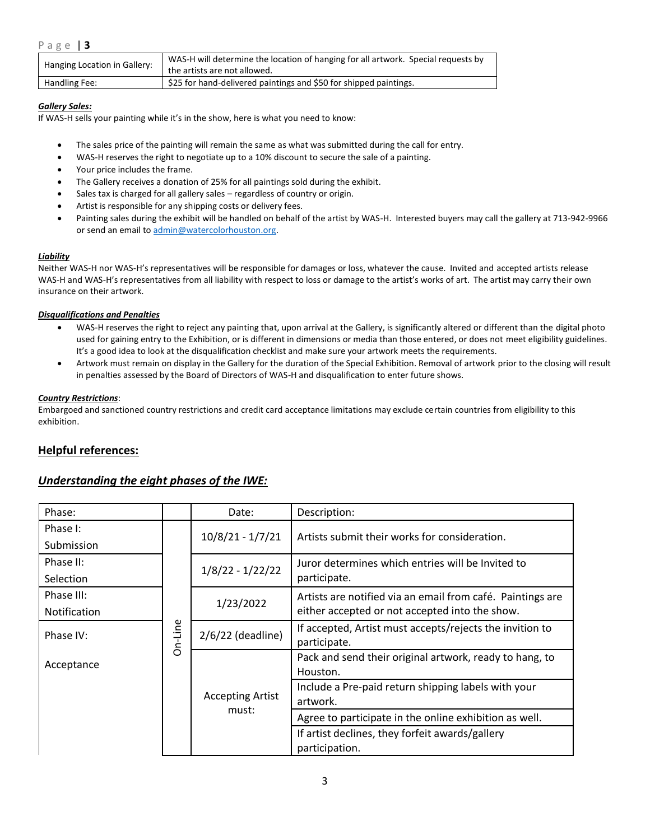| Hanging Location in Gallery: | WAS-H will determine the location of hanging for all artwork. Special requests by |
|------------------------------|-----------------------------------------------------------------------------------|
|                              | the artists are not allowed.                                                      |
| Handling Fee:                | \$25 for hand-delivered paintings and \$50 for shipped paintings.                 |

#### *Gallery Sales:*

If WAS-H sells your painting while it's in the show, here is what you need to know:

- The sales price of the painting will remain the same as what was submitted during the call for entry.
- WAS-H reserves the right to negotiate up to a 10% discount to secure the sale of a painting.
- Your price includes the frame.
- The Gallery receives a donation of 25% for all paintings sold during the exhibit.
- Sales tax is charged for all gallery sales regardless of country or origin.
- Artist is responsible for any shipping costs or delivery fees.
- Painting sales during the exhibit will be handled on behalf of the artist by WAS-H. Interested buyers may call the gallery at 713-942-9966 or send an email to [admin@watercolorhouston.org.](mailto:admin@watercolorhouston.org)

### *Liability*

Neither WAS-H nor WAS-H's representatives will be responsible for damages or loss, whatever the cause. Invited and accepted artists release WAS-H and WAS-H's representatives from all liability with respect to loss or damage to the artist's works of art. The artist may carry their own insurance on their artwork.

#### *Disqualifications and Penalties*

- WAS-H reserves the right to reject any painting that, upon arrival at the Gallery, is significantly altered or different than the digital photo used for gaining entry to the Exhibition, or is different in dimensions or media than those entered, or does not meet eligibility guidelines. It's a good idea to look at the disqualification checklist and make sure your artwork meets the requirements.
- Artwork must remain on display in the Gallery for the duration of the Special Exhibition. Removal of artwork prior to the closing will result in penalties assessed by the Board of Directors of WAS-H and disqualification to enter future shows.

#### *Country Restrictions*:

Embargoed and sanctioned country restrictions and credit card acceptance limitations may exclude certain countries from eligibility to this exhibition.

# **Helpful references:**

## *Understanding the eight phases of the IWE:*

| Phase:              |         | Date:                            | Description:                                                        |
|---------------------|---------|----------------------------------|---------------------------------------------------------------------|
| Phase I:            |         | $10/8/21 - 1/7/21$               | Artists submit their works for consideration.                       |
| Submission          |         |                                  |                                                                     |
| Phase II:           |         |                                  | Juror determines which entries will be Invited to                   |
| Selection           |         | $1/8/22 - 1/22/22$               | participate.                                                        |
| Phase III:          |         | 1/23/2022                        | Artists are notified via an email from café. Paintings are          |
| <b>Notification</b> |         |                                  |                                                                     |
| Phase IV:           | On-Line | $2/6/22$ (deadline)              | If accepted, Artist must accepts/rejects the invition to            |
|                     |         |                                  | participate.                                                        |
| Acceptance          |         | <b>Accepting Artist</b><br>must: | Pack and send their original artwork, ready to hang, to<br>Houston. |
|                     |         |                                  | Include a Pre-paid return shipping labels with your                 |
|                     |         |                                  | artwork.                                                            |
|                     |         |                                  | Agree to participate in the online exhibition as well.              |
|                     |         |                                  | If artist declines, they forfeit awards/gallery                     |
|                     |         |                                  | participation.                                                      |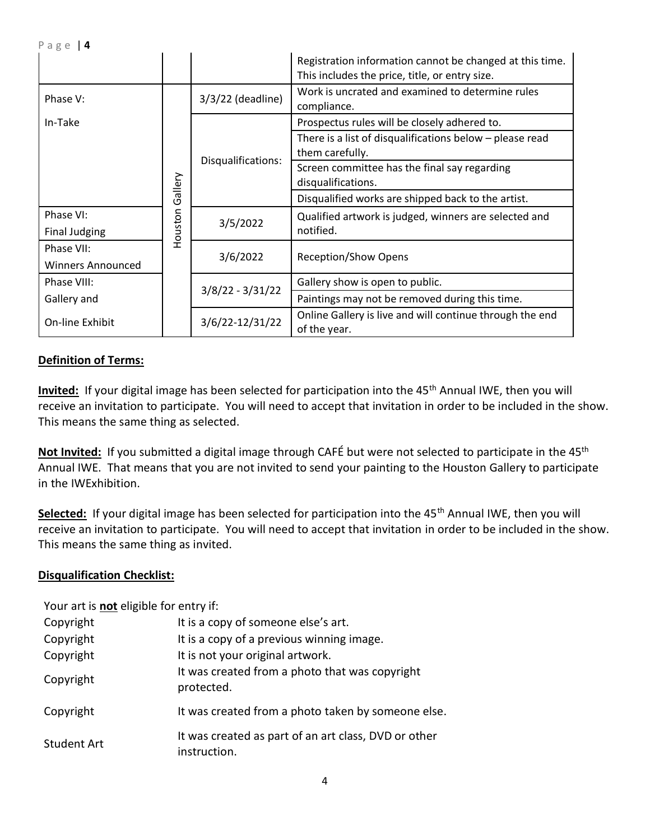|                          |         |                    | Registration information cannot be changed at this time.<br>This includes the price, title, or entry size. |
|--------------------------|---------|--------------------|------------------------------------------------------------------------------------------------------------|
| Phase V:                 |         | 3/3/22 (deadline)  | Work is uncrated and examined to determine rules<br>compliance.                                            |
| In-Take                  |         |                    | Prospectus rules will be closely adhered to.                                                               |
|                          |         |                    | There is a list of disqualifications below $-$ please read<br>them carefully.                              |
|                          | Gallery | Disqualifications: | Screen committee has the final say regarding<br>disqualifications.                                         |
|                          |         |                    | Disqualified works are shipped back to the artist.                                                         |
| Phase VI:                |         | 3/5/2022           | Qualified artwork is judged, winners are selected and                                                      |
| <b>Final Judging</b>     | Houston |                    | notified.                                                                                                  |
| Phase VII:               |         | 3/6/2022           | <b>Reception/Show Opens</b>                                                                                |
| <b>Winners Announced</b> |         |                    |                                                                                                            |
| Phase VIII:              |         |                    | Gallery show is open to public.                                                                            |
| Gallery and              |         | $3/8/22 - 3/31/22$ | Paintings may not be removed during this time.                                                             |
| On-line Exhibit          |         | 3/6/22-12/31/22    | Online Gallery is live and will continue through the end<br>of the year.                                   |

# **Definition of Terms:**

Invited: If your digital image has been selected for participation into the 45<sup>th</sup> Annual IWE, then you will receive an invitation to participate. You will need to accept that invitation in order to be included in the show. This means the same thing as selected.

Not Invited: If you submitted a digital image through CAFÉ but were not selected to participate in the 45<sup>th</sup> Annual IWE. That means that you are not invited to send your painting to the Houston Gallery to participate in the IWExhibition.

**Selected:** If your digital image has been selected for participation into the 45<sup>th</sup> Annual IWE, then you will receive an invitation to participate. You will need to accept that invitation in order to be included in the show. This means the same thing as invited.

# **Disqualification Checklist:**

Your art is **not** eligible for entry if:

| Copyright   | It is a copy of someone else's art.                                  |
|-------------|----------------------------------------------------------------------|
| Copyright   | It is a copy of a previous winning image.                            |
| Copyright   | It is not your original artwork.                                     |
| Copyright   | It was created from a photo that was copyright<br>protected.         |
| Copyright   | It was created from a photo taken by someone else.                   |
| Student Art | It was created as part of an art class, DVD or other<br>instruction. |